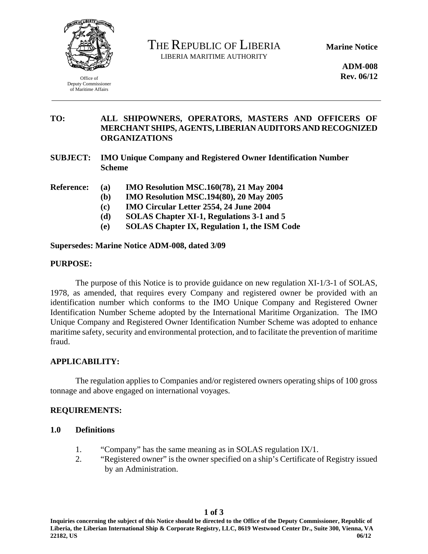

Office of Deputy Commissioner of Maritime Affairs

THE REPUBLIC OF LIBERIA

LIBERIA MARITIME AUTHORITY

**Marine Notice** 

**ADM-008 Rev. 06/12** 

## **TO: ALL SHIPOWNERS, OPERATORS, MASTERS AND OFFICERS OF MERCHANT SHIPS, AGENTS, LIBERIAN AUDITORS AND RECOGNIZED ORGANIZATIONS**

**SUBJECT: IMO Unique Company and Registered Owner Identification Number Scheme** 

**Reference: (a) IMO Resolution MSC.160(78), 21 May 2004** 

- **(b) IMO Resolution MSC.194(80), 20 May 2005**
- **(c) IMO Circular Letter 2554, 24 June 2004**
- **(d) SOLAS Chapter XI-1, Regulations 3-1 and 5**
- **(e) SOLAS Chapter IX, Regulation 1, the ISM Code**

**Supersedes: Marine Notice ADM-008, dated 3/09** 

### **PURPOSE:**

The purpose of this Notice is to provide guidance on new regulation XI-1/3-1 of SOLAS, 1978, as amended, that requires every Company and registered owner be provided with an identification number which conforms to the IMO Unique Company and Registered Owner Identification Number Scheme adopted by the International Maritime Organization. The IMO Unique Company and Registered Owner Identification Number Scheme was adopted to enhance maritime safety, security and environmental protection, and to facilitate the prevention of maritime fraud.

## **APPLICABILITY:**

The regulation applies to Companies and/or registered owners operating ships of 100 gross tonnage and above engaged on international voyages.

## **REQUIREMENTS:**

## **1.0 Definitions**

- 1. "Company" has the same meaning as in SOLAS regulation IX/1.
- 2. "Registered owner" is the owner specified on a ship's Certificate of Registry issued by an Administration.

 **1 of 3** 

**Inquiries concerning the subject of this Notice should be directed to the Office of the Deputy Commissioner, Republic of Liberia, the Liberian International Ship & Corporate Registry, LLC, 8619 Westwood Center Dr., Suite 300, Vienna, VA 22182, US 06/12**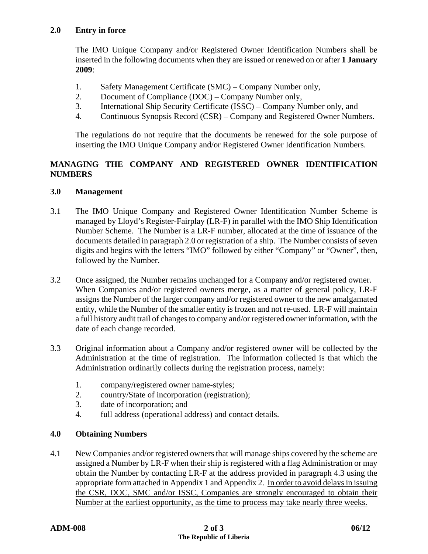The IMO Unique Company and/or Registered Owner Identification Numbers shall be inserted in the following documents when they are issued or renewed on or after **1 January 2009**:

- 1. Safety Management Certificate (SMC) Company Number only,
- 2. Document of Compliance (DOC) Company Number only,
- 3. International Ship Security Certificate (ISSC) Company Number only, and
- 4. Continuous Synopsis Record (CSR) Company and Registered Owner Numbers.

The regulations do not require that the documents be renewed for the sole purpose of inserting the IMO Unique Company and/or Registered Owner Identification Numbers.

# **MANAGING THE COMPANY AND REGISTERED OWNER IDENTIFICATION NUMBERS**

## **3.0 Management**

- 3.1 The IMO Unique Company and Registered Owner Identification Number Scheme is managed by Lloyd's Register-Fairplay (LR-F) in parallel with the IMO Ship Identification Number Scheme. The Number is a LR-F number, allocated at the time of issuance of the documents detailed in paragraph 2.0 or registration of a ship. The Number consists of seven digits and begins with the letters "IMO" followed by either "Company" or "Owner", then, followed by the Number.
- 3.2 Once assigned, the Number remains unchanged for a Company and/or registered owner. When Companies and/or registered owners merge, as a matter of general policy, LR-F assigns the Number of the larger company and/or registered owner to the new amalgamated entity, while the Number of the smaller entity is frozen and not re-used. LR-F will maintain a full history audit trail of changes to company and/or registered owner information, with the date of each change recorded.
- 3.3 Original information about a Company and/or registered owner will be collected by the Administration at the time of registration. The information collected is that which the Administration ordinarily collects during the registration process, namely:
	- 1. company/registered owner name-styles;
	- 2. country/State of incorporation (registration);
	- 3. date of incorporation; and
	- 4. full address (operational address) and contact details.

## **4.0 Obtaining Numbers**

4.1 New Companies and/or registered owners that will manage ships covered by the scheme are assigned a Number by LR-F when their ship is registered with a flag Administration or may obtain the Number by contacting LR-F at the address provided in paragraph 4.3 using the appropriate form attached in Appendix 1 and Appendix 2. In order to avoid delays in issuing the CSR, DOC, SMC and/or ISSC, Companies are strongly encouraged to obtain their Number at the earliest opportunity, as the time to process may take nearly three weeks.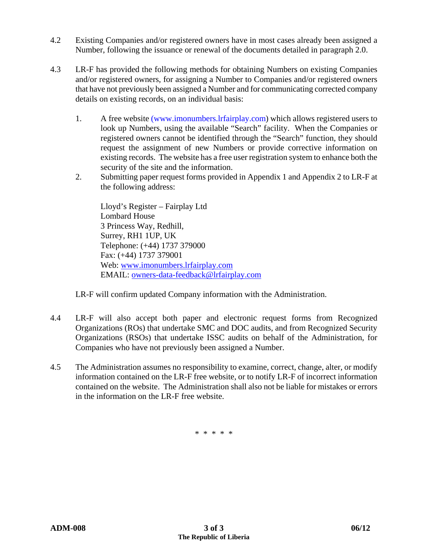- 4.2 Existing Companies and/or registered owners have in most cases already been assigned a Number, following the issuance or renewal of the documents detailed in paragraph 2.0.
- 4.3 LR-F has provided the following methods for obtaining Numbers on existing Companies and/or registered owners, for assigning a Number to Companies and/or registered owners that have not previously been assigned a Number and for communicating corrected company details on existing records, on an individual basis:
	- 1. A free website (www.imonumbers.lrfairplay.com) which allows registered users to look up Numbers, using the available "Search" facility. When the Companies or registered owners cannot be identified through the "Search" function, they should request the assignment of new Numbers or provide corrective information on existing records. The website has a free user registration system to enhance both the security of the site and the information.
	- 2. Submitting paper request forms provided in Appendix 1 and Appendix 2 to LR-F at the following address:

Lloyd's Register – Fairplay Ltd Lombard House 3 Princess Way, Redhill, Surrey, RH1 1UP, UK Telephone: (+44) 1737 379000 Fax: (+44) 1737 379001 Web: www.imonumbers.lrfairplay.com EMAIL: owners-data-feedback@lrfairplay.com

LR-F will confirm updated Company information with the Administration.

- 4.4 LR-F will also accept both paper and electronic request forms from Recognized Organizations (ROs) that undertake SMC and DOC audits, and from Recognized Security Organizations (RSOs) that undertake ISSC audits on behalf of the Administration, for Companies who have not previously been assigned a Number.
- 4.5 The Administration assumes no responsibility to examine, correct, change, alter, or modify information contained on the LR-F free website, or to notify LR-F of incorrect information contained on the website. The Administration shall also not be liable for mistakes or errors in the information on the LR-F free website.

\* \* \* \* \*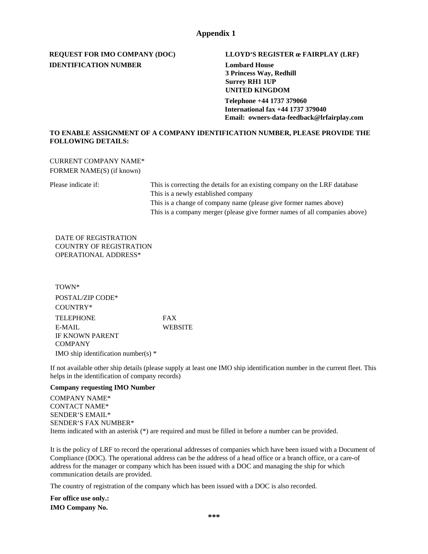### **Appendix 1**

# **IDENTIFICATION NUMBER** Lombard House

### **REQUEST FOR IMO COMPANY (DOC) LLOYD'S REGISTER œ FAIRPLAY (LRF)**

**3 Princess Way, Redhill Surrey RH1 1UP UNITED KINGDOM** 

**Telephone +44 1737 379060 International fax +44 1737 379040 Email: owners-data-feedback@lrfairplay.com** 

### **TO ENABLE ASSIGNMENT OF A COMPANY IDENTIFICATION NUMBER, PLEASE PROVIDE THE FOLLOWING DETAILS:**

### CURRENT COMPANY NAME\* FORMER NAME(S) (if known)

Please indicate if: This is correcting the details for an existing company on the LRF database This is a newly established company This is a change of company name (please give former names above) This is a company merger (please give former names of all companies above)

DATE OF REGISTRATION COUNTRY OF REGISTRATION OPERATIONAL ADDRESS\*

TOWN\* POSTAL/ZIP CODE\* COUNTRY\* TELEPHONE FAX E-MAIL WEBSITE IF KNOWN PARENT **COMPANY** IMO ship identification number(s) \*

If not available other ship details (please supply at least one IMO ship identification number in the current fleet. This helps in the identification of company records)

#### **Company requesting IMO Number**

COMPANY NAME\* CONTACT NAME\* SENDER'S EMAIL\* SENDER'S FAX NUMBER\* Items indicated with an asterisk (\*) are required and must be filled in before a number can be provided.

It is the policy of LRF to record the operational addresses of companies which have been issued with a Document of Compliance (DOC). The operational address can be the address of a head office or a branch office, or a care-of address for the manager or company which has been issued with a DOC and managing the ship for which communication details are provided.

The country of registration of the company which has been issued with a DOC is also recorded.

**For office use only.: IMO Company No.**